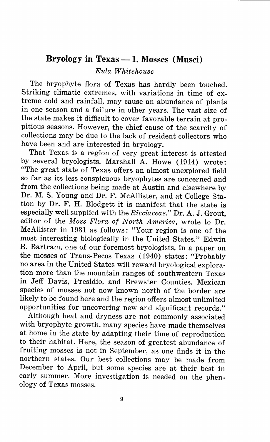## **Bryology in Texas - 1. Mosses (Musci)**

*Eula Whitehouse* 

The bryophyte flora of Texas has hardly been touched. Striking climatic extremes, with variations in time of extreme cold and rainfall, may cause an abundance of plants in one season and a failure in other years. The vast size of the state makes it difficult to cover favorable terrain at pro<sup>p</sup>itious seasons. However, the chief cause of the scarcity of collections may be due to the lack of resident collectors who have been and are interested in bryology.

That Texas is a region of very great interest is attested by several bryologists. Marshall A. Howe (1914) wrote: "The great state of Texas offers an almost unexplored field so far as its less conspicuous bryophytes are concerned and from the collections being made at Austin and elsewhere by Dr. M. S. Young and Dr. F. McAllister, and at College Station by Dr. F. H. Blodgett it is manifest that the state is especially well supplied with the *Ricciaceae."* Dr. A. J. Grout, editor of the *Moss Flora of North America,* wrote to Dr. McAllister in 1931 as follows: "Your region is one of the most interesting biologically in the United States." Edwin B. Bartram, one of our foremost bryologists, in a paper on the mosses of Trans-Pecos Texas (1940) states: "Probably no area in the United States will reward bryological exploration more than the mountain ranges of southwestern Texas in Jeff Davis, Presidio, and Brewster Counties. Mexican species of mosses not now known north of the border are likely to be found here and the region offers almost unlimited opportunities for uncovering new and significant records."

Although heat and dryness are not commonly associated with bryophyte growth, many species have made themselves at home in the state by adapting their time of reproduction to their habitat. Here, the season of greatest abundance of fruiting mosses is not in September, as one finds it in the northern states. **Our** best collections may be made from December to April, but some species are at their best in early summer. More investigation is needed on the phenology of Texas mosses.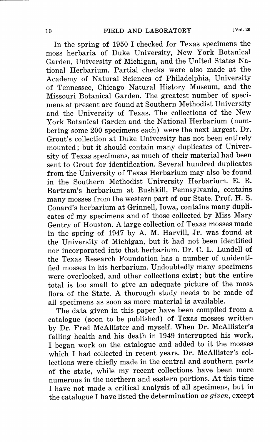In the spring of 1950 I checked for Texas specimens the moss herbaria of Duke University, New York Botanical Garden, University of Michigan, and the United States National Herbarium. Partial checks were also made at the Academy of Natural Sciences of Philadelphia, University of Tennessee, Chicago Natural History Museum, and the Missouri Botanical Garden. The greatest number of specimens at present are found at Southern Methodist University and the University of Texas. The collections of the New York Botanical Garden and the National Herbarium (numbering some 200 specimens each) were the next largest. Dr. Grout's collection at Duke University has not been entirely mounted; but it should contain many duplicates of University of Texas specimens, as much of their material had been sent to Grout for identification. Several hundred duplicates from the University of Texas Herbarium may also be found in the Southern Methodist University Herbarium. E. B. Bartram's herbarium at Bushkill, Pennsylvania, contains many mosses from the western part of our State. Prof. H. S. Conard's herbarium at Grinnell, Iowa, contains many duplicates of my specimens and of those collected by Miss Mary Gentry of Houston. A large collection of Texas mosses made in the spring of 1947 by A. M. Harvill, Jr. was found at the University of Michigan, but it had not been identified nor incorporated into that herbarium. Dr. C. L. Lundell of the Texas Research Foundation has a number of unidentified mosses in his herbarium. Undoubtedly many specimens were overlooked, and other collections exist; but the entire total is too small to give an adequate picture of the moss flora of the State. A thorough study needs to be made of all specimens as soon as more material is available.

The data given in this paper have been compiled from a catalogue (soon to be published) of Texas mosses written by Dr. Fred McAllister and myself. When Dr. McAllister's failing health and his death in 1949 interrupted his work, I began work on the catalogue and added to it the mosses which I had collected in recent years. Dr. McAllister's collections were chiefly made in the central and southern parts of the state, while my recent collections have been more numerous in the northern and eastern portions. At this time I have not made a critical analysis of all specimens, but in the catalogue I have listed the determination *as given,* excep<sup>t</sup>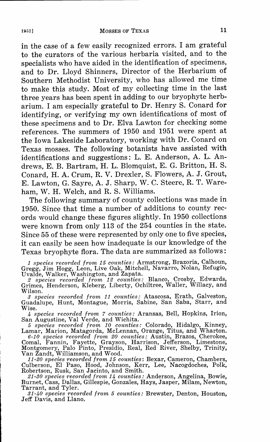## 1952] MOSSES OF TEXAS 11

in the case of a few easily recognized errors. I am grateful to the curators of the various herbaria visited, and to the specialists who have aided in the identification of specimens, and to Dr. Lloyd Shinners, Director of the Herbarium of Southern Methodist University, who has allowed me time to make this study. Most of my collecting time in the last three years has been spent in adding to our bryophyte herbarium. I am especially grateful to Dr. Henry S. Conard for identifying, or verifying my own identifications of most of these specimens and to Dr. Elva Lawton for checking some references. The summers of 1950 and 1951 were spent at the Iowa Lakeside Laboratory, working with Dr. Conard on Texas mosses. The following botanists have assisted with identifications and suggestions: L. E. Anderson, A. L. Andrews, E. B. Bartram, H. L. Blomquist, E. G. Britton, H. S. Conard, H. A. Crum, R. V. Drexler, S. Flowers, A. J. Grout, E. Lawton, G. Sayre, A. J. Sharp, W. C. Steere, R. T. Wareham, W. H. Welch, and R. S. Williams.

The following summary of county collections was made in 1950. Since that time a number of additions to county records would change these figures slightly. In 1950 collections were known from only 113 of the 254 counties in the state. Since 55 of these were represented by only one to five species, it can easily be seen how inadequate is our knowledge of the Texas bryophyte flora. The data are summarized as follows:

*1 species recorded from 15 counties:* Armstrong, Brazoria, Calhoun, Gregg, Jim Hogg, Leon, Live Oak, Mitchell, Navarro, Nolan, Refugio,

Uvalde, Walker, Washington, and Zapata. *2 species recorded from 12 counties:* Blanco, Crosby, Edwards, Grimes, Henderson, Kleberg, Liberty, Ochiltree, Waller, Willacy, and Wilson.

*3 species recorded from 11 counties:* Atascosa, Erath, Galveston, Guadalupe, Hunt, Montague, Morris, Sabine, San Saba, Starr, and Wise.

*4 species recorded from 7 counties:* Aransas, Bell, Hopkins, Irion,

San Augustine, Val Verde, and Wichita. *5 species recorded from 10 counties:* Colorado, Hidalgo, Kinney, Lamar, Marion, Matagorda, McLennan, Orange, Titus, and Wharton.

6-10 species recorded from 20 counties: Austin, Brazos, Cherokee Comal, Fannin, Fayette, Grayson, Harrison, Jefferson, Limestone Montgomery, Palo Pinto, Presidio, Real, Red River, Shelby, Trinity Van Zandt, Williamson, an

Culberson, El Paso, Hood, Johnson, Kerr, Lee, Nacogdoches, Polk, Robertson, Rusk, San Jacinto, and Smith.

*21-30 species recorded from 14 counties:* Anderson, Angelina Bowie Burnet, Cass, Dallas, Gillespie, Gonzales, Hays, Jasper, Milam, Newton: Tarrant, and Tyler.

*31-40 species recorded from 5 counties:* Brewster, Denton Houston Jeff Davis, and Llano.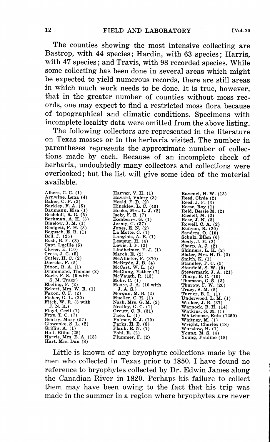The counties showing the most intensive collecting are Bastrop, with 44 species; Hardin, with 63 species; Harris, with 47 species; and Travis, with 98 recorded species. While some collecting has been done in several areas which might be expected to yield numerous records, there are still areas in which much work needs to be done. It is true, however, that in the greater number of counties without moss records, one may expect to find a restricted moss flora because of topographical and climatic conditions. Specimens with incomplete locality data were omitted from the above listing.

The following collectors are represented in the literature on Texas mosses or in the herbaria visited. The number in parentheses represents the approximate number of collections made by each. Because of an incomplete check of herbaria, undoubtedly many collectors and collections were overlooked; but the list will give some idea of the material available.

Albers, C. C. (1)<br>Arnwine, Lena (4)<br>Bakker, C. F. (2)<br>Baumann, Elsa (1)<br>Bechdolt, R. G. (5)<br>Berkman, A. H. (3)<br>Bigelow, J. M. (1)<br>Bigelow, J. M. (1)<br>Bogusch, E. R. (1) Boll, J. (25) Bush, B. F. (3) Capt, Lucille ( 5) Clover, E. (10) Cross, J.C. (5) Cutler, **H.** C. (2) Diercks, F. (5) Dixon, R. A. (1) Drummond, Thomas (2) Earle, F. S. (5 with S. **M.** Tracy) Eckert, Mrs. W. R. (1)<br>Eckert, Mrs. W. R. (1)<br>Faxon, C. F. (2)<br>Fitch, W. R. (3 with<br>J.N.R.)<br>J.N.R.)<br>Floyd, T. C. (7)<br>Frye, T. C. (7)<br>Glowenke, S. L. (2) Griffin, A. (1) Hall, Elihu (25) Harris, Mrs. E. A. (15) Hart, Mrs. Dan (8)

Harvey, V. H. (1)<br>Heald, F. D. (2)<br>Hooks, Mrs. L. C. (40)<br>Hooks, Mrs. L. J. (2)<br>Isely, F. B. (7)<br>Jermy, G. (37)<br>Jermy, G. (37)<br>Jones, E. N. (2)<br>La Motte, C. (1) Langlois, A. B. (1)<br>Lesueur, H. (4)<br>Lewis, I. F. (2)<br>Lewis, I. F. (2)<br>March, E. (2)<br>Mach, E. (2)<br>Meclilister, F. (370)<br>Meclart, V. L. (2)<br>MeCart, W. L. (2)<br>MeCura, K. (13)<br>Mohr, C. (1)<br>Mohr, C. (1)<br>J. A. S.)<br>Morgan, M. B. Palmer, E. J. (10) Parks, H.B. (8) Plank, E. N. (7) Pohl, R. (2) Plummer, F. (2)

Ravenel, **H.** W. (13) Reed, Clyde (2) Reed, J. F. (3) Reese, Roy ( 1) Reid, Bessie **M.** (2) Riedell, M. (2)<br>Rose, J. N. (3)<br>Rowell, C. A. (2)<br>Rowell, C. A. (2)<br>Sanders, O. (10)<br>Schulz, Ellen (6)<br>Schulz, Ellen (6)<br>Sharp, A. J. (2)<br>Shinners, L. H. (2)<br>Slater, Mrs. H. D. (2)<br>Stanfield, S. W. (9)<br>Stanfield, S. W. (9) Steyermark, J. A. (21)<br>Tharp, B. C. (10)<br>Thomson, G. S. (3)<br>Thurow, F. W. (20)<br>Tracy, S. M. (5)<br>Tracy, S. M. (5)<br>Underwood, L. M. (1)<br>Walker, J. B. (37)<br>Warnock, B. H. (14)<br>Watthins, G. M. (1)<br>Whitehouse, Eula (1250) Whitney, **M.** (1) Wright, Charles (18) Wurzlow, **H.** (1) Young, **M.** S. (4) Young, Pauline (18)

Little is known of any bryophyte collections made by the men who collected in Texas prior to 1850. I have found no reference to bryophytes collected by Dr. Edwin James along the Canadian River in 1820. Perhaps his failure to collect them may have been owing to the fact that his trip was made in the summer in a region where bryophytes are never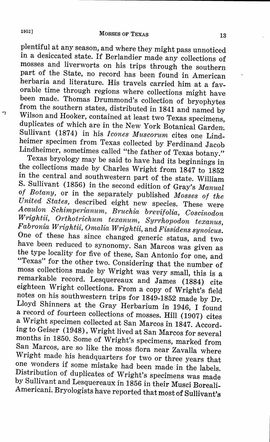<sup>p</sup>lentiful at any season, and where they might pass unnoticed in a desiccated state. If Berlandier made any collections of mosses and liverworts on his trips through the southern part of the State, no record has been found in American herbaria and literature. His travels carried him at a favorable time through regions where collections might have been made. Thomas Drummond's collection of bryophytes from the southern states, distributed in 1841 and named by Wilson and Hooker, contained at least two Texas specimens, duplicates of which are in the New York Botanical Garden. Sullivant (1874) in his *!cones Muscorum* cites one Lindheimer specimen from Texas collected by Ferdinand Jacob Lindheimer, sometimes called "the father of Texas botany."

Texas bryology may be said to have had its beginnings in the collections made by Charles Wright from 1847 to 1852 in the central and southwestern part of the state. William S. Sullivant (1856) in the second edition of Gray's *Manual of Botany,* or in the separately published *Mosses of the United States,* described eight new species. These were *Acaulon Schimperianum, Bruchia brevifolia, Coscinodon Wrightii, Orthotrichum texanum, Syrrhopodon texanus, Fabronia Wrightii, Omalia Wrightii,* and *Fissidens synoicus.*  One of these has since changed generic status, and two have been reduced to synonomy. San Marcos was given as the type locality for five of these, San Antonio for one, and "Texas" for the other two. Considering that the number of moss collections made by Wright was very small, this is a remarkable record. Lesquereaux and James (1884) cite eighteen Wright collections. From a copy of Wright's field notes on his southwestern trips for 1849-1852 made by Dr. Lloyd Shinners at the Gray Herbarium in 1946, I found a record of fourteen collections of mosses. Hill (1907) cites a Wright specimen collected at San Marcos in 1847. According to Geiser (1948), Wright lived at San Marcos for several months in 1850. Some of Wright's specimens, marked from San Marcos, are so like the moss flora near Zavalla where Wright made his headquarters for two or three years that one wonders if some mistake had been made in the labels. Distribution of duplicates of Wright's specimens was made by Sullivant and Lesquereaux in 1856 in their Musci Boreali-Americani. Bryologists have reported that most of Sullivant's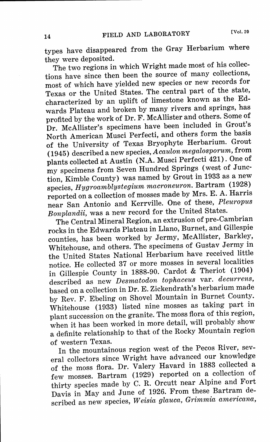types have disappeared from the Gray Herbarium where they were deposited.

The two regions in which Wright made most of his collections have since then been the source of many collections, most of which have yielded new species or new records for Texas or the United States. The central part of the state, characterized by an uplift of limestone known as the Edwards Plateau and broken by many rivers and springs, has profited by the work of Dr. F. McAllister and others. Some of Dr. McAllister's specimens have been included in Grout's North American Musci Perfecti, and others form the basis of the University of Texas Bryophyte Herbarium. Grout (1945) described a new species, *Acaulon megalosporum,* from plants collected at Austin (N.A. Musci Perfecti 421). One of my specimens from Seven Hundred Springs (west of Junction, Kimble County) was named by Grout in 1933 as a new species, *Hygroamblystegium macroneuron.* Bartram (1928) reported on a collection of mosses made by Mrs. E. A. Harris near San Antonio and Kerrville. One of these, *Pleuropus Bonplandii,* was a new record for the United States.

The Central Mineral Region, an extrusion of pre-Cambrian rocks in the Edwards Plateau in Llano, Burnet, and Gillespie counties, has been worked by Jermy, McAllister, Barkley, Whitehouse, and others. The specimens of Gustav Jermy in the United States National Herbarium have received little notice. He collected 37 or more mosses in several localities in Gillespie County in 1888-90. Cardot & Theriot (1904) described as new *Desmatodon tophaceus* var. *decurrens,*  based on a collection in Dr. E. Zickendrath's herbarium made by Rev. F. Ebeling on Shovel Mountain in Burnet County. Whitehouse (1933) listed nine mosses as taking part in plant succession on the granite. The moss flora of this region, when it has been worked in more detail, will probably show a definite relationship to that of the Rocky Mountain region of western Texas.

In the mountainous region west of the Pecos River, several collectors since Wright have advanced our knowledge of the moss flora. Dr. Valery Havard in 1883 collected a few mosses. Bartram (1929) reported on a collection of thirty species made by C. R. Orcutt near Alpine and Fort Davis in May and June of 1926. From these Bartram described as new species, *Weisia glauca, Grimmia americana,*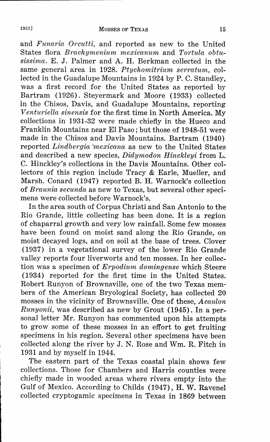and *Funaria Orcutti,* and reported as new to the United States flora *Brachymenium mexicanum* and *Tortula obtusissima.* E. J. Palmer and A. H. Berkman collected in the same general area in 1928. *Ptychomitrium serratum,* collected in the Guadalupe Mountains in 1924 by P. C. Standley, was a first record for the United States as reported by Bartram (1926). Steyermark and Moore (1933) collected in the Chisos, Davis, and Guadalupe Mountains, reporting *Venturiella sinensis* for the first time in North America. My collections in 1931-32 were made chiefly in the Hueco and Franklin Mountains near El Paso; but those of 1948-51 were made in the Chisos and Davis Mountains. Bartram (1940) reported *Lindbergia ·mexicana* as new to the United States and described a new species, *Didymodon Hinckleyi* from L. C. Hinckley's collections in the Davis Mountains. Other collectors of this region include Tracy & Earle, Mueller, and Marsh. Conard (1947) reported B. H. Warnock's collection of *Braunia secunda* as new to Texas, but several other specimens were collected before Warnock's.

In the area south of Corpus Christi and San Antonio to the Rio Grande, little collecting has been done. It is a region of chaparral growth and very low rainfall. Some few mosses have been found on moist sand along the Rio Grande, on moist decayed logs, and on soil at the base of trees. Clover (1937) in a vegetational survey of the lower Rio Grande valley reports four liverworts and ten mosses. In her collection was a specimen of *Erpodium domingense* which Steere (1934) reported for the first time in the United States. Robert Runyon of Brownsville, one of the two Texas members of the American Bryological Society, has collected 20 mosses in the vicinity of Brownsville. One of these, *Acaulon Runyonii,* was described as new by Grout (1945). In a personal letter Mr. Runyon has commented upon his attempts to grow some of these mosses in an effort to get fruiting specimens in his region. Several other specimens have been collected along the river by J. N. Rose and Wm. R. Fitch in 1931 and by myself in 1944.

The eastern part of the Texas coastal plain shows few collections. Those for Chambers and Harris counties were chiefly made in wooded areas where rivers empty into the Gulf of Mexico. According to Childs (1947), H. W. Ravenel collected cryptogamic specimens in Texas in 1869 between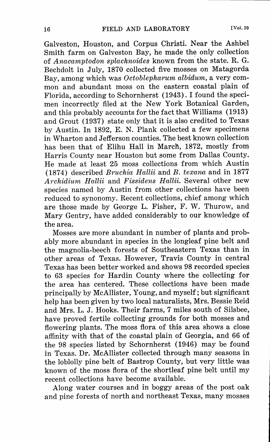Galveston, Houston, and Corpus Christi. Near the Ashbel Smith farm on Galveston Bay, he made the only collection of *Anacamptodon splachnoides* known from· the state. R. G. Bechdolt in July, 1870 collected five mosses on Matagorda Bay, among which was *Octoblepharum albidum,* a very common and abundant moss on the eastern coastal plain of Florida, according to Schornherst (1943). I found the specimen incorrectly filed at the New York Botanical Garden, and this probably accounts for the fact that Williams (1913) and Grout (1937) state only that it is also credited to Texas by Austin. In 1892, E. N. Plank collected a few specimens in Wharton and Jefferson counties. The best known collection has been that of Elihu Hall in March, 1872, mostly from Harris County near Houston but some from Dallas County. He made at least 25 moss collections from which Austin (1874) described *Bruchia Hallii* and *B. texana* and in 1877 *Archidium Hallii* and *Fissidens Hallii.* Several other new species named by Austin from other collections have been reduced to synonomy. Recent collections, chief among which are those made by George L. Fisher, F. W. Thurow, and Mary Gentry, have added considerably to our knowledge of the area.

Mosses are more abundant in number of plants and probably more abundant in species in the longleaf pine belt and the magnolia-beech forests of Southeastern Texas than in other areas of Texas. However, Travis County in central Texas has been better worked and shows 98 recorded species to 63 species for Hardin County where the collecting for the area has centered. These collections have been made principally by McAllister, Young, and myself; but significant help has been given by two local naturalists, Mrs. Bessie Reid and Mrs. L. J. Hooks. Their farms, 7 miles south of Silsbee, have proved fertile collecting grounds for both mosses and flowering plants. The moss flora of this area shows a close affinity with that of the coastal plain of Georgia, and 66 of the 98 species listed by Schornherst (1946) may be found in Texas. Dr. McAllister collected through many seasons in the loblolly pine belt of Bastrop County, but very little was known of the moss flora of the shortleaf pine belt until my recent collections have become available.

Along water courses and in boggy areas of the post oak and pine forests of north and northeast Texas, many mosses